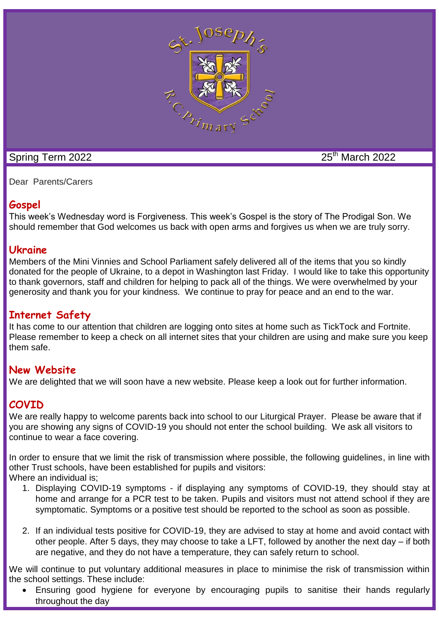

# Spring Term 2022 25<sup>th</sup> March 2022

Dear Parents/Carers

# **Gospel**

This week's Wednesday word is Forgiveness. This week's Gospel is the story of The Prodigal Son. We should remember that God welcomes us back with open arms and forgives us when we are truly sorry.

## **Ukraine**

Members of the Mini Vinnies and School Parliament safely delivered all of the items that you so kindly donated for the people of Ukraine, to a depot in Washington last Friday. I would like to take this opportunity to thank governors, staff and children for helping to pack all of the things. We were overwhelmed by your generosity and thank you for your kindness. We continue to pray for peace and an end to the war.

# **Internet Safety**

It has come to our attention that children are logging onto sites at home such as TickTock and Fortnite. Please remember to keep a check on all internet sites that your children are using and make sure you keep them safe.

## **New Website**

We are delighted that we will soon have a new website. Please keep a look out for further information.

# **COVID**

We are really happy to welcome parents back into school to our Liturgical Prayer. Please be aware that if you are showing any signs of COVID-19 you should not enter the school building. We ask all visitors to continue to wear a face covering.

In order to ensure that we limit the risk of transmission where possible, the following guidelines, in line with other Trust schools, have been established for pupils and visitors: Where an individual is;

- 1. Displaying COVID-19 symptoms if displaying any symptoms of COVID-19, they should stay at home and arrange for a PCR test to be taken. Pupils and visitors must not attend school if they are symptomatic. Symptoms or a positive test should be reported to the school as soon as possible.
- 2. If an individual tests positive for COVID-19, they are advised to stay at home and avoid contact with other people. After 5 days, they may choose to take a LFT, followed by another the next day – if both are negative, and they do not have a temperature, they can safely return to school.

We will continue to put voluntary additional measures in place to minimise the risk of transmission within the school settings. These include:

 Ensuring good hygiene for everyone by encouraging pupils to sanitise their hands regularly throughout the day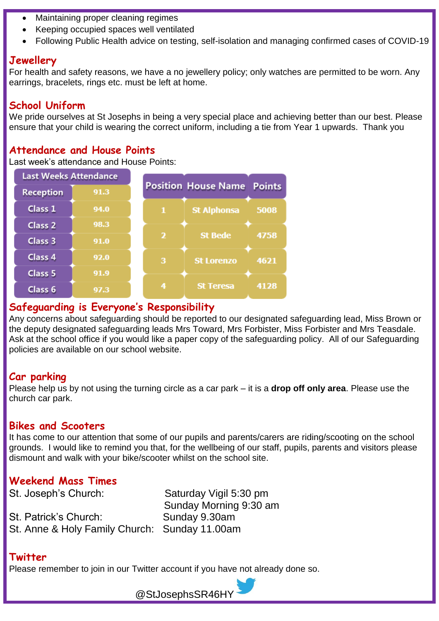- Maintaining proper cleaning regimes
- Keeping occupied spaces well ventilated
- Following Public Health advice on testing, self-isolation and managing confirmed cases of COVID-19

#### **Jewellery**

For health and safety reasons, we have a no jewellery policy; only watches are permitted to be worn. Any earrings, bracelets, rings etc. must be left at home.

## **School Uniform**

We pride ourselves at St Josephs in being a very special place and achieving better than our best. Please ensure that your child is wearing the correct uniform, including a tie from Year 1 upwards. Thank you

### **Attendance and House Points**

Last week's attendance and House Points:

| <b>Last Weeks Attendance</b> |      |                         |                                   |      |
|------------------------------|------|-------------------------|-----------------------------------|------|
| <b>Reception</b>             | 91.3 |                         | <b>Position House Name Points</b> |      |
| Class 1                      | 94.0 |                         | <b>St Alphonsa</b>                | 5008 |
| Class <sub>2</sub>           | 98.3 |                         |                                   |      |
| Class 3                      | 91.0 | $\overline{\mathbf{2}}$ | <b>St Bede</b>                    | 4758 |
| Class 4                      | 92.0 | 3                       | <b>St Lorenzo</b>                 | 4621 |
| Class <sub>5</sub>           | 91.9 |                         |                                   |      |
| Class <sub>6</sub>           | 97.3 | 4                       | <b>St Teresa</b>                  | 4128 |

#### **Safeguarding is Everyone's Responsibility**

Any concerns about safeguarding should be reported to our designated safeguarding lead, Miss Brown or the deputy designated safeguarding leads Mrs Toward, Mrs Forbister, Miss Forbister and Mrs Teasdale. Ask at the school office if you would like a paper copy of the safeguarding policy. All of our Safeguarding policies are available on our school website.

## **Car parking**

Please help us by not using the turning circle as a car park – it is a **drop off only area**. Please use the church car park.

#### **Bikes and Scooters**

It has come to our attention that some of our pupils and parents/carers are riding/scooting on the school grounds. I would like to remind you that, for the wellbeing of our staff, pupils, parents and visitors please dismount and walk with your bike/scooter whilst on the school site.

## **Weekend Mass Times**

St. Joseph's Church: Saturday Vigil 5:30 pm Sunday Morning 9:30 am St. Patrick's Church: Sunday 9.30am St. Anne & Holy Family Church: Sunday 11.00am

#### **Twitter**

Please remember to join in our Twitter account if you have not already done so.

@StJosephsSR46HY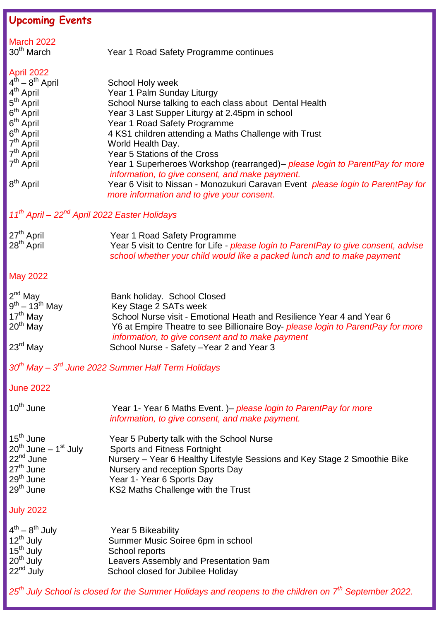| <b>Upcoming Events</b>                                                                                                                                                                                                                                              |                                                                                                                                                                                                                                                                                                                                                                                                                                                                                                                                                                                     |  |  |  |
|---------------------------------------------------------------------------------------------------------------------------------------------------------------------------------------------------------------------------------------------------------------------|-------------------------------------------------------------------------------------------------------------------------------------------------------------------------------------------------------------------------------------------------------------------------------------------------------------------------------------------------------------------------------------------------------------------------------------------------------------------------------------------------------------------------------------------------------------------------------------|--|--|--|
| <b>March 2022</b><br>$30th$ March                                                                                                                                                                                                                                   | Year 1 Road Safety Programme continues                                                                                                                                                                                                                                                                                                                                                                                                                                                                                                                                              |  |  |  |
| <b>April 2022</b><br>$4^{th} - 8^{th}$ April<br>4 <sup>th</sup> April<br>5 <sup>th</sup> April<br>6 <sup>th</sup> April<br>$6th$ April<br>6 <sup>th</sup> April<br>7 <sup>th</sup> April<br>7 <sup>th</sup> April<br>7 <sup>th</sup> April<br>8 <sup>th</sup> April | School Holy week<br>Year 1 Palm Sunday Liturgy<br>School Nurse talking to each class about Dental Health<br>Year 3 Last Supper Liturgy at 2.45pm in school<br>Year 1 Road Safety Programme<br>4 KS1 children attending a Maths Challenge with Trust<br>World Health Day.<br>Year 5 Stations of the Cross<br>Year 1 Superheroes Workshop (rearranged)– please login to ParentPay for more<br>information, to give consent, and make payment.<br>Year 6 Visit to Nissan - Monozukuri Caravan Event <i>please login to ParentPay for</i><br>more information and to give your consent. |  |  |  |
| 11 <sup>th</sup> April - 22 <sup>nd</sup> April 2022 Easter Holidays                                                                                                                                                                                                |                                                                                                                                                                                                                                                                                                                                                                                                                                                                                                                                                                                     |  |  |  |
| 27 <sup>th</sup> April<br>28 <sup>th</sup> April                                                                                                                                                                                                                    | Year 1 Road Safety Programme<br>Year 5 visit to Centre for Life - please login to ParentPay to give consent, advise<br>school whether your child would like a packed lunch and to make payment                                                                                                                                                                                                                                                                                                                                                                                      |  |  |  |
| <b>May 2022</b>                                                                                                                                                                                                                                                     |                                                                                                                                                                                                                                                                                                                                                                                                                                                                                                                                                                                     |  |  |  |
| $2^{nd}$ May<br>$9^{th} - 13^{th}$ May<br>$17th$ May<br>$20th$ May<br>$23^{\text{rd}}$ May                                                                                                                                                                          | Bank holiday. School Closed<br>Key Stage 2 SATs week<br>School Nurse visit - Emotional Heath and Resilience Year 4 and Year 6<br>Y6 at Empire Theatre to see Billionaire Boy- <i>please login to ParentPay for more</i><br>information, to give consent and to make payment<br>School Nurse - Safety - Year 2 and Year 3                                                                                                                                                                                                                                                            |  |  |  |
|                                                                                                                                                                                                                                                                     | 30 <sup>th</sup> May – 3 <sup>rd</sup> June 2022 Summer Half Term Holidays                                                                                                                                                                                                                                                                                                                                                                                                                                                                                                          |  |  |  |
| <b>June 2022</b>                                                                                                                                                                                                                                                    |                                                                                                                                                                                                                                                                                                                                                                                                                                                                                                                                                                                     |  |  |  |
| $10^{th}$ June                                                                                                                                                                                                                                                      | Year 1- Year 6 Maths Event. )– please login to ParentPay for more<br>information, to give consent, and make payment.                                                                                                                                                                                                                                                                                                                                                                                                                                                                |  |  |  |
| $15th$ June<br>$20^{th}$ June – 1 <sup>st</sup> July<br>22 <sup>nd</sup> June<br>$27th$ June<br>$29th$ June<br>29 <sup>th</sup> June                                                                                                                                | Year 5 Puberty talk with the School Nurse<br><b>Sports and Fitness Fortnight</b><br>Nursery - Year 6 Healthy Lifestyle Sessions and Key Stage 2 Smoothie Bike<br>Nursery and reception Sports Day<br>Year 1- Year 6 Sports Day<br>KS2 Maths Challenge with the Trust                                                                                                                                                                                                                                                                                                                |  |  |  |
| <b>July 2022</b>                                                                                                                                                                                                                                                    |                                                                                                                                                                                                                                                                                                                                                                                                                                                                                                                                                                                     |  |  |  |
| $4^{th} - 8^{th}$ July<br>$12^{th}$ July<br>$15th$ July<br>$20th$ July<br>22 <sup>nd</sup> July                                                                                                                                                                     | Year 5 Bikeability<br>Summer Music Soiree 6pm in school<br>School reports<br>Leavers Assembly and Presentation 9am<br>School closed for Jubilee Holiday                                                                                                                                                                                                                                                                                                                                                                                                                             |  |  |  |
|                                                                                                                                                                                                                                                                     | 25 <sup>th</sup> July School is closed for the Summer Holidays and reopens to the children on 7 <sup>th</sup> September 2022.                                                                                                                                                                                                                                                                                                                                                                                                                                                       |  |  |  |